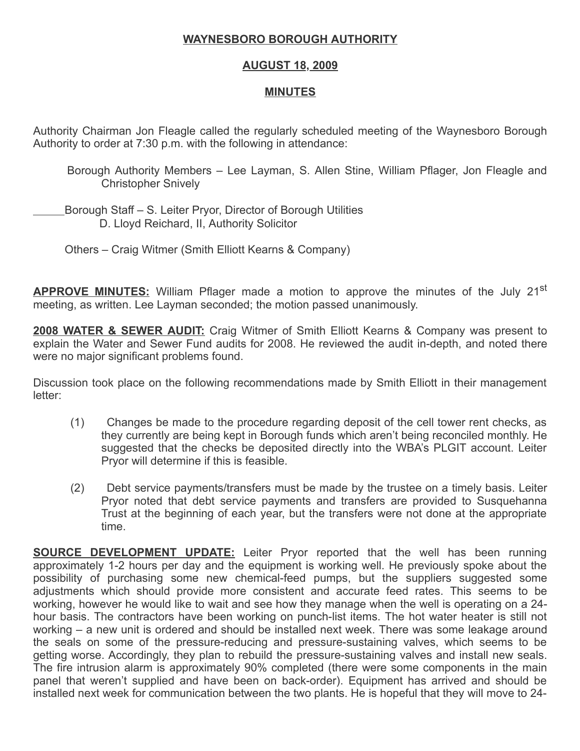## WAYNESBORO BOROUGH AUTHORITY

## AUGUST 18, 2009

## MINUTES

Authority Chairman Jon Fleagle called the regularly scheduled meeting of the Waynesboro Borough Authority to order at 7:30 p.m. with the following in attendance:

- Borough Authority Members Lee Layman, S. Allen Stine, William Pflager, Jon Fleagle and Christopher Snively
- Borough Staff S. Leiter Pryor, Director of Borough Utilities D. Lloyd Reichard, II, Authority Solicitor
	- Others Craig Witmer (Smith Elliott Kearns & Company)

**APPROVE MINUTES:** William Pflager made a motion to approve the minutes of the July 21<sup>st</sup> meeting, as written. Lee Layman seconded; the motion passed unanimously.

**2008 WATER & SEWER AUDIT:** Craig Witmer of Smith Elliott Kearns & Company was present to explain the Water and Sewer Fund audits for 2008. He reviewed the audit in-depth, and noted there were no major significant problems found.

Discussion took place on the following recommendations made by Smith Elliott in their management letter:

- (1) Changes be made to the procedure regarding deposit of the cell tower rent checks, as they currently are being kept in Borough funds which aren't being reconciled monthly. He suggested that the checks be deposited directly into the WBA's PLGIT account. Leiter Pryor will determine if this is feasible.
- (2) Debt service payments/transfers must be made by the trustee on a timely basis. Leiter Pryor noted that debt service payments and transfers are provided to Susquehanna Trust at the beginning of each year, but the transfers were not done at the appropriate time.

**SOURCE DEVELOPMENT UPDATE:** Leiter Pryor reported that the well has been running approximately 1-2 hours per day and the equipment is working well. He previously spoke about the possibility of purchasing some new chemical-feed pumps, but the suppliers suggested some adjustments which should provide more consistent and accurate feed rates. This seems to be working, however he would like to wait and see how they manage when the well is operating on a 24 hour basis. The contractors have been working on punch-list items. The hot water heater is still not working – a new unit is ordered and should be installed next week. There was some leakage around the seals on some of the pressure-reducing and pressure-sustaining valves, which seems to be getting worse. Accordingly, they plan to rebuild the pressure-sustaining valves and install new seals. The fire intrusion alarm is approximately 90% completed (there were some components in the main panel that weren't supplied and have been on back-order). Equipment has arrived and should be installed next week for communication between the two plants. He is hopeful that they will move to 24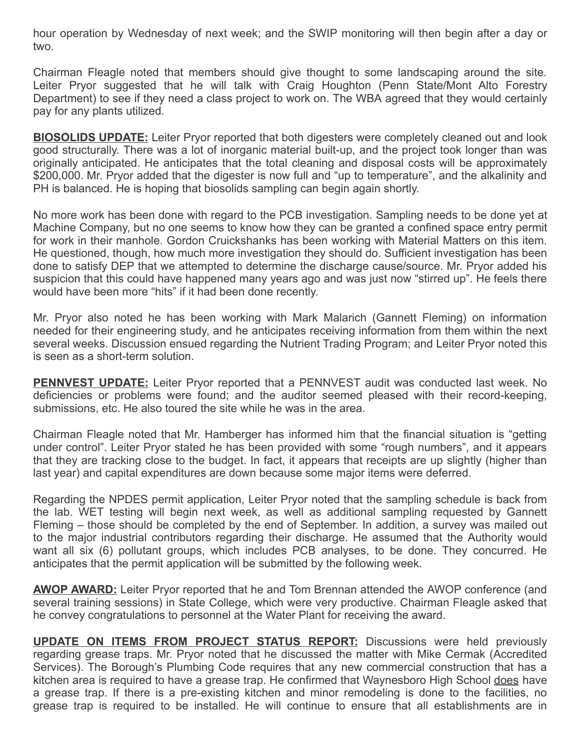hour operation by Wednesday of next week; and the SWIP monitoring will then begin after a day or two.

Chairman Fleagle noted that members should give thought to some landscaping around the site. Leiter Pryor suggested that he will talk with Craig Houghton (Penn State/Mont Alto Forestry Department) to see if they need a class project to work on. The WBA agreed that they would certainly pay for any plants utilized.

**BIOSOLIDS UPDATE:** Leiter Pryor reported that both digesters were completely cleaned out and look good structurally. There was a lot of inorganic material built-up, and the project took longer than was originally anticipated. He anticipates that the total cleaning and disposal costs will be approximately \$200,000. Mr. Pryor added that the digester is now full and "up to temperature", and the alkalinity and PH is balanced. He is hoping that biosolids sampling can begin again shortly.

No more work has been done with regard to the PCB investigation. Sampling needs to be done yet at Machine Company, but no one seems to know how they can be granted a confined space entry permit for work in their manhole. Gordon Cruickshanks has been working with Material Matters on this item. He questioned, though, how much more investigation they should do. Sufficient investigation has been done to satisfy DEP that we attempted to determine the discharge cause/source. Mr. Pryor added his suspicion that this could have happened many years ago and was just now "stirred up". He feels there would have been more "hits" if it had been done recently.

Mr. Pryor also noted he has been working with Mark Malarich (Gannett Fleming) on information needed for their engineering study, and he anticipates receiving information from them within the next several weeks. Discussion ensued regarding the Nutrient Trading Program; and Leiter Pryor noted this is seen as a short-term solution.

**PENNVEST UPDATE:** Leiter Pryor reported that a PENNVEST audit was conducted last week. No deficiencies or problems were found; and the auditor seemed pleased with their record-keeping, submissions, etc. He also toured the site while he was in the area.

Chairman Fleagle noted that Mr. Hamberger has informed him that the financial situation is "getting under control". Leiter Pryor stated he has been provided with some "rough numbers", and it appears that they are tracking close to the budget. In fact, it appears that receipts are up slightly (higher than last year) and capital expenditures are down because some major items were deferred.

Regarding the NPDES permit application, Leiter Pryor noted that the sampling schedule is back from the lab. WET testing will begin next week, as well as additional sampling requested by Gannett Fleming – those should be completed by the end of September. In addition, a survey was mailed out to the major industrial contributors regarding their discharge. He assumed that the Authority would want all six (6) pollutant groups, which includes PCB analyses, to be done. They concurred. He anticipates that the permit application will be submitted by the following week.

**AWOP AWARD:** Leiter Pryor reported that he and Tom Brennan attended the AWOP conference (and several training sessions) in State College, which were very productive. Chairman Fleagle asked that he convey congratulations to personnel at the Water Plant for receiving the award.

UPDATE ON ITEMS FROM PROJECT STATUS REPORT: Discussions were held previously regarding grease traps. Mr. Pryor noted that he discussed the matter with Mike Cermak (Accredited Services). The Borough's Plumbing Code requires that any new commercial construction that has a kitchen area is required to have a grease trap. He confirmed that Waynesboro High School does have a grease trap. If there is a pre-existing kitchen and minor remodeling is done to the facilities, no grease trap is required to be installed. He will continue to ensure that all establishments are in